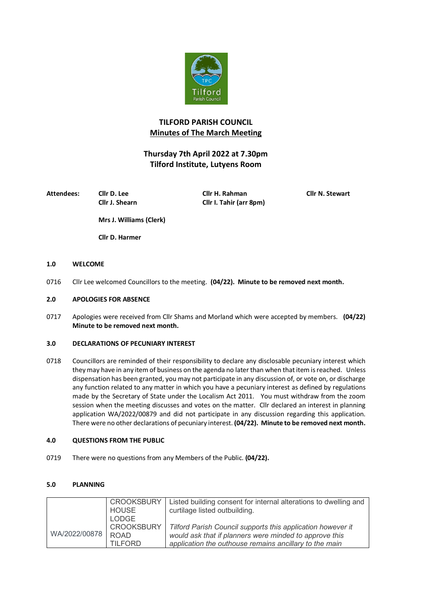

# **TILFORD PARISH COUNCIL Minutes of The March Meeting**

# **Thursday 7th April 2022 at 7.30pm Tilford Institute, Lutyens Room**

**Attendees: Cllr D. Lee Cllr H. Rahman Cllr N. Stewart**

**Cllr J. Shearn Cllr I. Tahir (arr 8pm)**

**Mrs J. Williams (Clerk)**

**Cllr D. Harmer**

## **1.0 WELCOME**

0716 Cllr Lee welcomed Councillors to the meeting. **(04/22). Minute to be removed next month.**

## **2.0 APOLOGIES FOR ABSENCE**

0717 Apologies were received from Cllr Shams and Morland which were accepted by members. **(04/22) Minute to be removed next month.**

# **3.0 DECLARATIONS OF PECUNIARY INTEREST**

0718 Councillors are reminded of their responsibility to declare any disclosable pecuniary interest which they may have in any item of business on the agenda no later than when that item is reached. Unless dispensation has been granted, you may not participate in any discussion of, or vote on, or discharge any function related to any matter in which you have a pecuniary interest as defined by regulations made by the Secretary of State under the Localism Act 2011. You must withdraw from the zoom session when the meeting discusses and votes on the matter. Cllr declared an interest in planning application WA/2022/00879 and did not participate in any discussion regarding this application. There were no other declarations of pecuniary interest. **(04/22). Minute to be removed next month.**

## **4.0 QUESTIONS FROM THE PUBLIC**

0719 There were no questions from any Members of the Public. **(04/22).** 

## **5.0 PLANNING**

|               | <b>CROOKSBURY</b><br>HOUSE       | Listed building consent for internal alterations to dwelling and                                                 |
|---------------|----------------------------------|------------------------------------------------------------------------------------------------------------------|
|               | LODGE                            | curtilage listed outbuilding.                                                                                    |
| WA/2022/00878 | <b>CROOKSBURY</b><br><b>ROAD</b> | Tilford Parish Council supports this application however it                                                      |
|               | <b>TILFORD</b>                   | would ask that if planners were minded to approve this<br>application the outhouse remains ancillary to the main |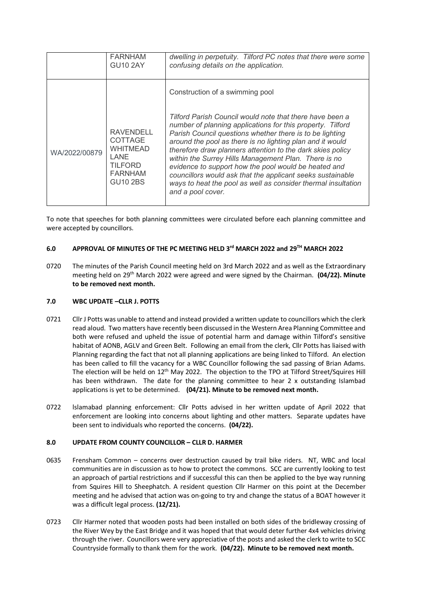|               | <b>FARNHAM</b><br><b>GU10 2AY</b>                                                                             | dwelling in perpetuity. Tilford PC notes that there were some<br>confusing details on the application.                                                                                                                                                                                                                                                                                                                                                                                                                                                                            |
|---------------|---------------------------------------------------------------------------------------------------------------|-----------------------------------------------------------------------------------------------------------------------------------------------------------------------------------------------------------------------------------------------------------------------------------------------------------------------------------------------------------------------------------------------------------------------------------------------------------------------------------------------------------------------------------------------------------------------------------|
|               |                                                                                                               | Construction of a swimming pool                                                                                                                                                                                                                                                                                                                                                                                                                                                                                                                                                   |
| WA/2022/00879 | <b>RAVENDELL</b><br><b>COTTAGE</b><br><b>WHITMEAD</b><br>LANE<br>TILFORD<br><b>FARNHAM</b><br><b>GU10 2BS</b> | Tilford Parish Council would note that there have been a<br>number of planning applications for this property. Tilford<br>Parish Council questions whether there is to be lighting<br>around the pool as there is no lighting plan and it would<br>therefore draw planners attention to the dark skies policy<br>within the Surrey Hills Management Plan. There is no<br>evidence to support how the pool would be heated and<br>councillors would ask that the applicant seeks sustainable<br>ways to heat the pool as well as consider thermal insultation<br>and a pool cover. |

To note that speeches for both planning committees were circulated before each planning committee and were accepted by councillors.

## **6.0 APPROVAL OF MINUTES OF THE PC MEETING HELD 3rd MARCH 2022 and 29TH MARCH 2022**

0720 The minutes of the Parish Council meeting held on 3rd March 2022 and as well as the Extraordinary meeting held on 29th March 2022 were agreed and were signed by the Chairman. **(04/22). Minute to be removed next month.**

#### **7.0 WBC UPDATE –CLLR J. POTTS**

- 0721 Cllr J Potts was unable to attend and instead provided a written update to councillors which the clerk read aloud. Two matters have recently been discussed in the Western Area Planning Committee and both were refused and upheld the issue of potential harm and damage within Tilford's sensitive habitat of AONB, AGLV and Green Belt. Following an email from the clerk, Cllr Potts has liaised with Planning regarding the fact that not all planning applications are being linked to Tilford. An election has been called to fill the vacancy for a WBC Councillor following the sad passing of Brian Adams. The election will be held on 12<sup>th</sup> May 2022. The objection to the TPO at Tilford Street/Squires Hill has been withdrawn. The date for the planning committee to hear 2 x outstanding Islambad applications is yet to be determined. **(04/21). Minute to be removed next month.**
- 0722 lslamabad planning enforcement: Cllr Potts advised in her written update of April 2022 that enforcement are looking into concerns about lighting and other matters. Separate updates have been sent to individuals who reported the concerns. **(04/22).**

#### **8.0 UPDATE FROM COUNTY COUNCILLOR – CLLR D. HARMER**

- 0635 Frensham Common concerns over destruction caused by trail bike riders. NT, WBC and local communities are in discussion as to how to protect the commons. SCC are currently looking to test an approach of partial restrictions and if successful this can then be applied to the bye way running from Squires Hill to Sheephatch. A resident question Cllr Harmer on this point at the December meeting and he advised that action was on-going to try and change the status of a BOAT however it was a difficult legal process. **(12/21).**
- 0723 Cllr Harmer noted that wooden posts had been installed on both sides of the bridleway crossing of the River Wey by the East Bridge and it was hoped that that would deter further 4x4 vehicles driving through the river. Councillors were very appreciative of the posts and asked the clerk to write to SCC Countryside formally to thank them for the work. **(04/22). Minute to be removed next month.**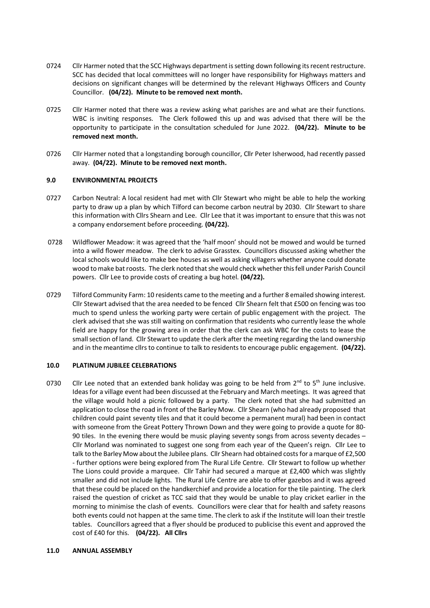- 0724 Cllr Harmer noted that the SCC Highways department is setting down following its recent restructure. SCC has decided that local committees will no longer have responsibility for Highways matters and decisions on significant changes will be determined by the relevant Highways Officers and County Councillor. **(04/22). Minute to be removed next month.**
- 0725 Cllr Harmer noted that there was a review asking what parishes are and what are their functions. WBC is inviting responses. The Clerk followed this up and was advised that there will be the opportunity to participate in the consultation scheduled for June 2022. **(04/22). Minute to be removed next month.**
- 0726 Cllr Harmer noted that a longstanding borough councillor, Cllr Peter Isherwood, had recently passed away. **(04/22). Minute to be removed next month.**

#### **9.0 ENVIRONMENTAL PROJECTS**

- 0727 Carbon Neutral: A local resident had met with Cllr Stewart who might be able to help the working party to draw up a plan by which Tilford can become carbon neutral by 2030. Cllr Stewart to share this information with Cllrs Shearn and Lee. Cllr Lee that it was important to ensure that this was not a company endorsement before proceeding. **(04/22).**
- 0728 Wildflower Meadow: it was agreed that the 'half moon' should not be mowed and would be turned into a wild flower meadow. The clerk to advise Grasstex. Councillors discussed asking whether the local schools would like to make bee houses as well as asking villagers whether anyone could donate wood to make bat roosts. The clerk noted that she would check whether this fell under Parish Council powers. Cllr Lee to provide costs of creating a bug hotel. **(04/22).**
- 0729 Tilford Community Farm: 10 residents came to the meeting and a further 8 emailed showing interest. Cllr Stewart advised that the area needed to be fenced Cllr Shearn felt that £500 on fencing was too much to spend unless the working party were certain of public engagement with the project. The clerk advised that she was still waiting on confirmation that residents who currently lease the whole field are happy for the growing area in order that the clerk can ask WBC for the costs to lease the small section of land. Cllr Stewart to update the clerk after the meeting regarding the land ownership and in the meantime cllrs to continue to talk to residents to encourage public engagement. **(04/22).**

#### **10.0 PLATINUM JUBILEE CELEBRATIONS**

0730 Cllr Lee noted that an extended bank holiday was going to be held from  $2^{nd}$  to 5<sup>th</sup> June inclusive. Ideas for a village event had been discussed at the February and March meetings. It was agreed that the village would hold a picnic followed by a party. The clerk noted that she had submitted an application to close the road in front of the Barley Mow. Cllr Shearn (who had already proposed that children could paint seventy tiles and that it could become a permanent mural) had been in contact with someone from the Great Pottery Thrown Down and they were going to provide a quote for 80- 90 tiles. In the evening there would be music playing seventy songs from across seventy decades – Cllr Morland was nominated to suggest one song from each year of the Queen's reign. Cllr Lee to talk to the Barley Mow about the Jubilee plans. Cllr Shearn had obtained costs for a marque of £2,500 - further options were being explored from The Rural Life Centre. Cllr Stewart to follow up whether The Lions could provide a marquee. Cllr Tahir had secured a marque at £2,400 which was slightly smaller and did not include lights. The Rural Life Centre are able to offer gazebos and it was agreed that these could be placed on the handkerchief and provide a location for the tile painting. The clerk raised the question of cricket as TCC said that they would be unable to play cricket earlier in the morning to minimise the clash of events. Councillors were clear that for health and safety reasons both events could not happen at the same time. The clerk to ask if the Institute will loan their trestle tables. Councillors agreed that a flyer should be produced to publicise this event and approved the cost of £40 for this. **(04/22). All Cllrs**

#### **11.0 ANNUAL ASSEMBLY**